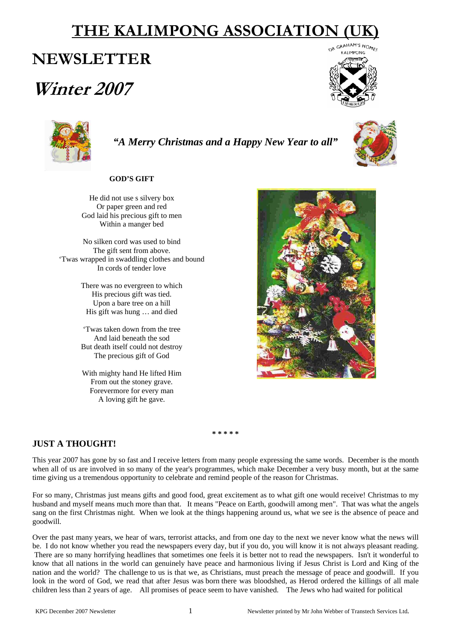# **THE KALIMPONG ASSOCIATION**

# **NEWSLETTER**

# **Winter 2007**





*"A Merry Christmas and a Happy New Year to all"*

# **GOD'S GIFT**

He did not use s silvery box Or paper green and red God laid his precious gift to men Within a manger bed

No silken cord was used to bind The gift sent from above. 'Twas wrapped in swaddling clothes and bound In cords of tender love

> There was no evergreen to which His precious gift was tied. Upon a bare tree on a hill His gift was hung … and died

> 'Twas taken down from the tree And laid beneath the sod But death itself could not destroy The precious gift of God

> With mighty hand He lifted Him From out the stoney grave. Forevermore for every man A loving gift he gave.



**\* \* \* \* \*** 

# **JUST A THOUGHT!**

This year 2007 has gone by so fast and I receive letters from many people expressing the same words. December is the month when all of us are involved in so many of the year's programmes, which make December a very busy month, but at the same time giving us a tremendous opportunity to celebrate and remind people of the reason for Christmas.

For so many, Christmas just means gifts and good food, great excitement as to what gift one would receive! Christmas to my husband and myself means much more than that. It means "Peace on Earth, goodwill among men". That was what the angels sang on the first Christmas night. When we look at the things happening around us, what we see is the absence of peace and goodwill.

Over the past many years, we hear of wars, terrorist attacks, and from one day to the next we never know what the news will be. I do not know whether you read the newspapers every day, but if you do, you will know it is not always pleasant reading. There are so many horrifying headlines that sometimes one feels it is better not to read the newspapers. Isn't it wonderful to know that all nations in the world can genuinely have peace and harmonious living if Jesus Christ is Lord and King of the nation and the world? The challenge to us is that we, as Christians, must preach the message of peace and goodwill. If you look in the word of God, we read that after Jesus was born there was bloodshed, as Herod ordered the killings of all male children less than 2 years of age. All promises of peace seem to have vanished. The Jews who had waited for political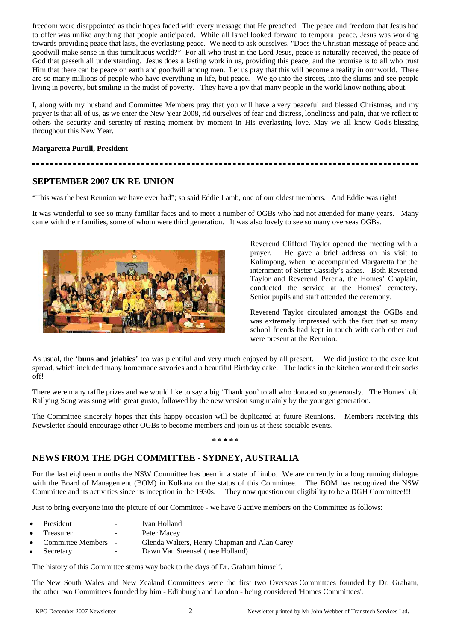freedom were disappointed as their hopes faded with every message that He preached. The peace and freedom that Jesus had to offer was unlike anything that people anticipated. While all Israel looked forward to temporal peace, Jesus was working towards providing peace that lasts, the everlasting peace. We need to ask ourselves. "Does the Christian message of peace and goodwill make sense in this tumultuous world?" For all who trust in the Lord Jesus, peace is naturally received, the peace of God that passeth all understanding. Jesus does a lasting work in us, providing this peace, and the promise is to all who trust Him that there can be peace on earth and goodwill among men. Let us pray that this will become a reality in our world. There are so many millions of people who have everything in life, but peace. We go into the streets, into the slums and see people living in poverty, but smiling in the midst of poverty. They have a joy that many people in the world know nothing about.

I, along with my husband and Committee Members pray that you will have a very peaceful and blessed Christmas, and my prayer is that all of us, as we enter the New Year 2008, rid ourselves of fear and distress, loneliness and pain, that we reflect to others the security and serenity of resting moment by moment in His everlasting love. May we all know God's blessing throughout this New Year.

#### **Margaretta Purtill, President**

# ................

# **SEPTEMBER 2007 UK RE-UNION**

"This was the best Reunion we have ever had"; so said Eddie Lamb, one of our oldest members. And Eddie was right!

It was wonderful to see so many familiar faces and to meet a number of OGBs who had not attended for many years. Many came with their families, some of whom were third generation. It was also lovely to see so many overseas OGBs.



Reverend Clifford Taylor opened the meeting with a prayer. He gave a brief address on his visit to Kalimpong, when he accompanied Margaretta for the internment of Sister Cassidy's ashes. Both Reverend Taylor and Reverend Pereria, the Homes' Chaplain, conducted the service at the Homes' cemetery. Senior pupils and staff attended the ceremony.

Reverend Taylor circulated amongst the OGBs and was extremely impressed with the fact that so many school friends had kept in touch with each other and were present at the Reunion.

As usual, the '**buns and jelabies'** tea was plentiful and very much enjoyed by all present. We did justice to the excellent spread, which included many homemade savories and a beautiful Birthday cake. The ladies in the kitchen worked their socks off!

There were many raffle prizes and we would like to say a big 'Thank you' to all who donated so generously. The Homes' old Rallying Song was sung with great gusto, followed by the new version sung mainly by the younger generation.

The Committee sincerely hopes that this happy occasion will be duplicated at future Reunions. Members receiving this Newsletter should encourage other OGBs to become members and join us at these sociable events.

#### **\* \* \* \* \***

# **NEWS FROM THE DGH COMMITTEE - SYDNEY, AUSTRALIA**

For the last eighteen months the NSW Committee has been in a state of limbo. We are currently in a long running dialogue with the Board of Management (BOM) in Kolkata on the status of this Committee. The BOM has recognized the NSW Committee and its activities since its inception in the 1930s. They now question our eligibility to be a DGH Committee!!!

Just to bring everyone into the picture of our Committee - we have 6 active members on the Committee as follows:

- President Ivan Holland
- Treasurer Peter Macey
- Committee Members Glenda Walters, Henry Chapman and Alan Carey
- Secretary Dawn Van Steensel ( nee Holland)

The history of this Committee stems way back to the days of Dr. Graham himself.

The New South Wales and New Zealand Committees were the first two Overseas Committees founded by Dr. Graham, the other two Committees founded by him - Edinburgh and London - being considered 'Homes Committees'.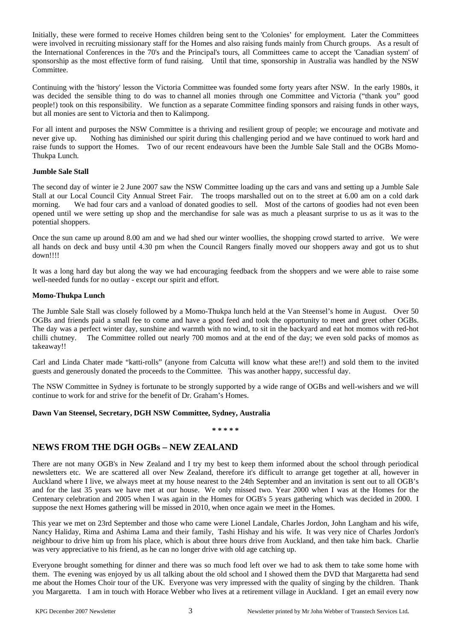Initially, these were formed to receive Homes children being sent to the 'Colonies' for employment. Later the Committees were involved in recruiting missionary staff for the Homes and also raising funds mainly from Church groups. As a result of the International Conferences in the 70's and the Principal's tours, all Committees came to accept the 'Canadian system' of sponsorship as the most effective form of fund raising. Until that time, sponsorship in Australia was handled by the NSW Committee.

Continuing with the 'history' lesson the Victoria Committee was founded some forty years after NSW. In the early 1980s, it was decided the sensible thing to do was to channel all monies through one Committee and Victoria ("thank you" good people!) took on this responsibility. We function as a separate Committee finding sponsors and raising funds in other ways, but all monies are sent to Victoria and then to Kalimpong.

For all intent and purposes the NSW Committee is a thriving and resilient group of people; we encourage and motivate and never give up. Nothing has diminished our spirit during this challenging period and we have continued to work hard and raise funds to support the Homes. Two of our recent endeavours have been the Jumble Sale Stall and the OGBs Momo-Thukpa Lunch.

#### **Jumble Sale Stall**

The second day of winter ie 2 June 2007 saw the NSW Committee loading up the cars and vans and setting up a Jumble Sale Stall at our Local Council City Annual Street Fair. The troops marshalled out on to the street at 6.00 am on a cold dark morning. We had four cars and a vanload of donated goodies to sell. Most of the cartons of goodies had not even been opened until we were setting up shop and the merchandise for sale was as much a pleasant surprise to us as it was to the potential shoppers.

Once the sun came up around 8.00 am and we had shed our winter woollies, the shopping crowd started to arrive. We were all hands on deck and busy until 4.30 pm when the Council Rangers finally moved our shoppers away and got us to shut down!!!!

It was a long hard day but along the way we had encouraging feedback from the shoppers and we were able to raise some well-needed funds for no outlay - except our spirit and effort.

#### **Momo-Thukpa Lunch**

The Jumble Sale Stall was closely followed by a Momo-Thukpa lunch held at the Van Steensel's home in August. Over 50 OGBs and friends paid a small fee to come and have a good feed and took the opportunity to meet and greet other OGBs. The day was a perfect winter day, sunshine and warmth with no wind, to sit in the backyard and eat hot momos with red-hot chilli chutney. The Committee rolled out nearly 700 momos and at the end of the day; we even sold packs of momos as takeaway!!

Carl and Linda Chater made "katti-rolls" (anyone from Calcutta will know what these are!!) and sold them to the invited guests and generously donated the proceeds to the Committee. This was another happy, successful day.

The NSW Committee in Sydney is fortunate to be strongly supported by a wide range of OGBs and well-wishers and we will continue to work for and strive for the benefit of Dr. Graham's Homes.

#### **Dawn Van Steensel, Secretary, DGH NSW Committee, Sydney, Australia**

#### **\* \* \* \* \***

# **NEWS FROM THE DGH OGBs – NEW ZEALAND**

There are not many OGB's in New Zealand and I try my best to keep them informed about the school through periodical newsletters etc. We are scattered all over New Zealand, therefore it's difficult to arrange get together at all, however in Auckland where I live, we always meet at my house nearest to the 24th September and an invitation is sent out to all OGB's and for the last 35 years we have met at our house. We only missed two. Year 2000 when I was at the Homes for the Centenary celebration and 2005 when I was again in the Homes for OGB's 5 years gathering which was decided in 2000. I suppose the next Homes gathering will be missed in 2010, when once again we meet in the Homes.

This year we met on 23rd September and those who came were Lionel Landale, Charles Jordon, John Langham and his wife, Nancy Haliday, Rima and Ashima Lama and their family, Tashi Hishay and his wife. It was very nice of Charles Jordon's neighbour to drive him up from his place, which is about three hours drive from Auckland, and then take him back. Charlie was very appreciative to his friend, as he can no longer drive with old age catching up.

Everyone brought something for dinner and there was so much food left over we had to ask them to take some home with them. The evening was enjoyed by us all talking about the old school and I showed them the DVD that Margaretta had send me about the Homes Choir tour of the UK. Everyone was very impressed with the quality of singing by the children. Thank you Margaretta. I am in touch with Horace Webber who lives at a retirement village in Auckland. I get an email every now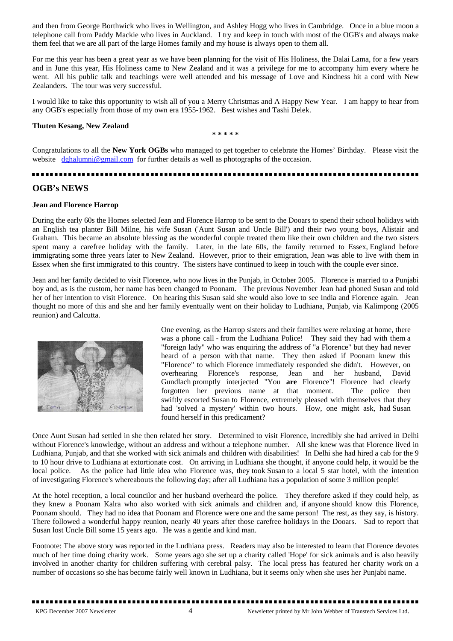and then from George Borthwick who lives in Wellington, and Ashley Hogg who lives in Cambridge. Once in a blue moon a telephone call from Paddy Mackie who lives in Auckland. I try and keep in touch with most of the OGB's and always make them feel that we are all part of the large Homes family and my house is always open to them all.

For me this year has been a great year as we have been planning for the visit of His Holiness, the Dalai Lama, for a few years and in June this year, His Holiness came to New Zealand and it was a privilege for me to accompany him every where he went. All his public talk and teachings were well attended and his message of Love and Kindness hit a cord with New Zealanders. The tour was very successful.

I would like to take this opportunity to wish all of you a Merry Christmas and A Happy New Year. I am happy to hear from any OGB's especially from those of my own era 1955-1962. Best wishes and Tashi Delek.

#### **Thuten Kesang, New Zealand**

**\* \* \* \* \*** 

Congratulations to all the **New York OGBs** who managed to get together to celebrate the Homes' Birthday. Please visit the website [dghalumni@gmail.com](mailto:dghalumni@gmail.com) for further details as well as photographs of the occasion.

### **OGB's NEWS**

#### **Jean and Florence Harrop**

During the early 60s the Homes selected Jean and Florence Harrop to be sent to the Dooars to spend their school holidays with an English tea planter Bill Milne, his wife Susan ('Aunt Susan and Uncle Bill') and their two young boys, Alistair and Graham. This became an absolute blessing as the wonderful couple treated them like their own children and the two sisters spent many a carefree holiday with the family. Later, in the late 60s, the family returned to Essex, England before immigrating some three years later to New Zealand. However, prior to their emigration, Jean was able to live with them in Essex when she first immigrated to this country. The sisters have continued to keep in touch with the couple ever since.

Jean and her family decided to visit Florence, who now lives in the Punjab, in October 2005. Florence is married to a Punjabi boy and, as is the custom, her name has been changed to Poonam. The previous November Jean had phoned Susan and told her of her intention to visit Florence. On hearing this Susan said she would also love to see India and Florence again. Jean thought no more of this and she and her family eventually went on their holiday to Ludhiana, Punjab, via Kalimpong (2005 reunion) and Calcutta.



One evening, as the Harrop sisters and their families were relaxing at home, there was a phone call - from the Ludhiana Police! They said they had with them a "foreign lady" who was enquiring the address of "a Florence" but they had never heard of a person with that name. They then asked if Poonam knew this "Florence" to which Florence immediately responded she didn't. However, on overhearing Florence's response, Jean and her husband, David Gundlach promptly interjected "You **are** Florence"! Florence had clearly forgotten her previous name at that moment. The police then swiftly escorted Susan to Florence, extremely pleased with themselves that they had 'solved a mystery' within two hours. How, one might ask, had Susan found herself in this predicament?

Once Aunt Susan had settled in she then related her story. Determined to visit Florence, incredibly she had arrived in Delhi without Florence's knowledge, without an address and without a telephone number. All she knew was that Florence lived in Ludhiana, Punjab, and that she worked with sick animals and children with disabilities! In Delhi she had hired a cab for the 9 to 10 hour drive to Ludhiana at extortionate cost. On arriving in Ludhiana she thought, if anyone could help, it would be the local police. As the police had little idea who Florence was, they took Susan to a local 5 star hotel, with the intention of investigating Florence's whereabouts the following day; after all Ludhiana has a population of some 3 million people!

At the hotel reception, a local councilor and her husband overheard the police. They therefore asked if they could help, as they knew a Poonam Kalra who also worked with sick animals and children and, if anyone should know this Florence, Poonam should. They had no idea that Poonam and Florence were one and the same person! The rest, as they say, is history. There followed a wonderful happy reunion, nearly 40 years after those carefree holidays in the Dooars. Sad to report that Susan lost Uncle Bill some 15 years ago. He was a gentle and kind man.

Footnote: The above story was reported in the Ludhiana press. Readers may also be interested to learn that Florence devotes much of her time doing charity work. Some years ago she set up a charity called 'Hope' for sick animals and is also heavily involved in another charity for children suffering with cerebral palsy. The local press has featured her charity work on a number of occasions so she has become fairly well known in Ludhiana, but it seems only when she uses her Punjabi name.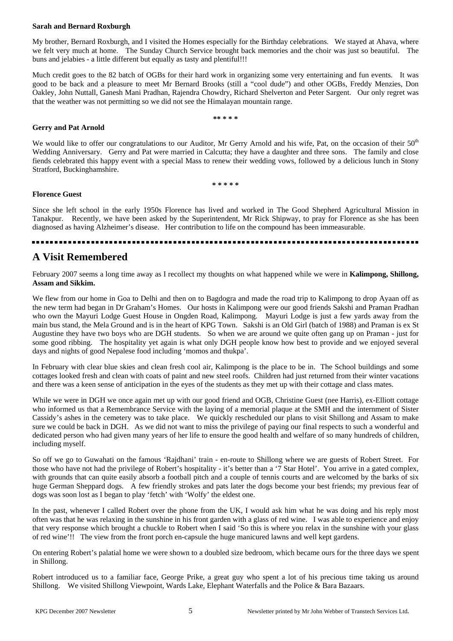#### **Sarah and Bernard Roxburgh**

My brother, Bernard Roxburgh, and I visited the Homes especially for the Birthday celebrations. We stayed at Ahava, where we felt very much at home. The Sunday Church Service brought back memories and the choir was just so beautiful. The buns and jelabies - a little different but equally as tasty and plentiful!!!

Much credit goes to the 82 batch of OGBs for their hard work in organizing some very entertaining and fun events. It was good to be back and a pleasure to meet Mr Bernard Brooks (still a "cool dude") and other OGBs, Freddy Menzies, Don Oakley, John Nuttall, Ganesh Mani Pradhan, Rajendra Chowdry, Richard Shelverton and Peter Sargent. Our only regret was that the weather was not permitting so we did not see the Himalayan mountain range.

**\*\* \* \* \***

#### **Gerry and Pat Arnold**

**Florence Guest** 

We would like to offer our congratulations to our Auditor, Mr Gerry Arnold and his wife, Pat, on the occasion of their 50<sup>th</sup> Wedding Anniversary. Gerry and Pat were married in Calcutta; they have a daughter and three sons. The family and close fiends celebrated this happy event with a special Mass to renew their wedding vows, followed by a delicious lunch in Stony Stratford, Buckinghamshire.

**\* \* \* \* \*** 

# Since she left school in the early 1950s Florence has lived and worked in The Good Shepherd Agricultural Mission in Tanakpur. Recently, we have been asked by the Superintendent, Mr Rick Shipway, to pray for Florence as she has been diagnosed as having Alzheimer's disease. Her contribution to life on the compound has been immeasurable.

# **A Visit Remembered**

February 2007 seems a long time away as I recollect my thoughts on what happened while we were in **Kalimpong, Shillong, Assam and Sikkim.**

We flew from our home in Goa to Delhi and then on to Bagdogra and made the road trip to Kalimpong to drop Ayaan off as the new term had began in Dr Graham's Homes. Our hosts in Kalimpong were our good friends Sakshi and Praman Pradhan who own the Mayuri Lodge Guest House in Ongden Road, Kalimpong. Mayuri Lodge is just a few yards away from the main bus stand, the Mela Ground and is in the heart of KPG Town. Sakshi is an Old Girl (batch of 1988) and Praman is ex St Augustine they have two boys who are DGH students. So when we are around we quite often gang up on Praman - just for some good ribbing. The hospitality yet again is what only DGH people know how best to provide and we enjoyed several days and nights of good Nepalese food including 'momos and thukpa'.

In February with clear blue skies and clean fresh cool air, Kalimpong is the place to be in. The School buildings and some cottages looked fresh and clean with coats of paint and new steel roofs. Children had just returned from their winter vacations and there was a keen sense of anticipation in the eyes of the students as they met up with their cottage and class mates.

While we were in DGH we once again met up with our good friend and OGB, Christine Guest (nee Harris), ex-Elliott cottage who informed us that a Remembrance Service with the laying of a memorial plaque at the SMH and the internment of Sister Cassidy's ashes in the cemetery was to take place. We quickly rescheduled our plans to visit Shillong and Assam to make sure we could be back in DGH. As we did not want to miss the privilege of paying our final respects to such a wonderful and dedicated person who had given many years of her life to ensure the good health and welfare of so many hundreds of children, including myself.

So off we go to Guwahati on the famous 'Rajdhani' train - en-route to Shillong where we are guests of Robert Street. For those who have not had the privilege of Robert's hospitality - it's better than a '7 Star Hotel'. You arrive in a gated complex, with grounds that can quite easily absorb a football pitch and a couple of tennis courts and are welcomed by the barks of six huge German Sheppard dogs. A few friendly strokes and pats later the dogs become your best friends; my previous fear of dogs was soon lost as I began to play 'fetch' with 'Wolfy' the eldest one.

In the past, whenever I called Robert over the phone from the UK, I would ask him what he was doing and his reply most often was that he was relaxing in the sunshine in his front garden with a glass of red wine. I was able to experience and enjoy that very response which brought a chuckle to Robert when I said 'So this is where you relax in the sunshine with your glass of red wine'!! The view from the front porch en-capsule the huge manicured lawns and well kept gardens.

On entering Robert's palatial home we were shown to a doubled size bedroom, which became ours for the three days we spent in Shillong.

Robert introduced us to a familiar face, George Prike, a great guy who spent a lot of his precious time taking us around Shillong. We visited Shillong Viewpoint, Wards Lake, Elephant Waterfalls and the Police & Bara Bazaars.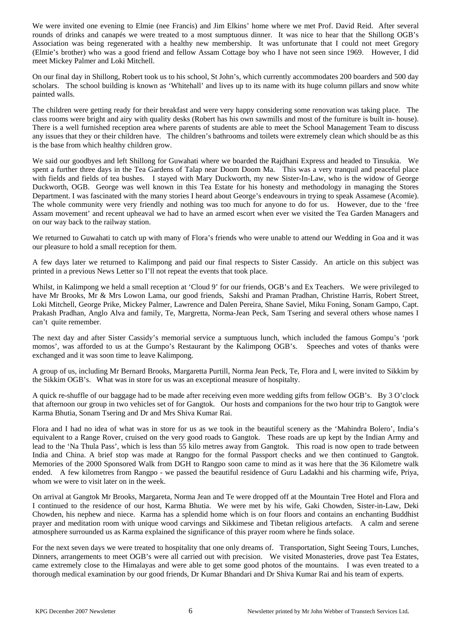We were invited one evening to Elmie (nee Francis) and Jim Elkins' home where we met Prof. David Reid. After several rounds of drinks and canapés we were treated to a most sumptuous dinner. It was nice to hear that the Shillong OGB's Association was being regenerated with a healthy new membership. It was unfortunate that I could not meet Gregory (Elmie's brother) who was a good friend and fellow Assam Cottage boy who I have not seen since 1969. However, I did meet Mickey Palmer and Loki Mitchell.

On our final day in Shillong, Robert took us to his school, St John's, which currently accommodates 200 boarders and 500 day scholars. The school building is known as 'Whitehall' and lives up to its name with its huge column pillars and snow white painted walls.

The children were getting ready for their breakfast and were very happy considering some renovation was taking place. The class rooms were bright and airy with quality desks (Robert has his own sawmills and most of the furniture is built in- house). There is a well furnished reception area where parents of students are able to meet the School Management Team to discuss any issues that they or their children have. The children's bathrooms and toilets were extremely clean which should be as this is the base from which healthy children grow.

We said our goodbyes and left Shillong for Guwahati where we boarded the Rajdhani Express and headed to Tinsukia. We spent a further three days in the Tea Gardens of Talap near Doom Doom Ma. This was a very tranquil and peaceful place with fields and fields of tea bushes. I stayed with Mary Duckworth, my new Sister-In-Law, who is the widow of George Duckworth, OGB. George was well known in this Tea Estate for his honesty and methodology in managing the Stores Department. I was fascinated with the many stories I heard about George's endeavours in trying to speak Assamese (Acomie). The whole community were very friendly and nothing was too much for anyone to do for us. However, due to the 'free Assam movement' and recent upheaval we had to have an armed escort when ever we visited the Tea Garden Managers and on our way back to the railway station.

We returned to Guwahati to catch up with many of Flora's friends who were unable to attend our Wedding in Goa and it was our pleasure to hold a small reception for them.

A few days later we returned to Kalimpong and paid our final respects to Sister Cassidy. An article on this subject was printed in a previous News Letter so I'll not repeat the events that took place.

Whilst, in Kalimpong we held a small reception at 'Cloud 9' for our friends, OGB's and Ex Teachers. We were privileged to have Mr Brooks, Mr & Mrs Lowon Lama, our good friends, Sakshi and Praman Pradhan, Christine Harris, Robert Street, Loki Mitchell, George Prike, Mickey Palmer, Lawrence and Dalen Pereira, Shane Saviel, Miku Foning, Sonam Gampo, Capt. Prakash Pradhan, Anglo Alva and family, Te, Margretta, Norma-Jean Peck, Sam Tsering and several others whose names I can't quite remember.

The next day and after Sister Cassidy's memorial service a sumptuous lunch, which included the famous Gompu's 'pork momos', was afforded to us at the Gumpo's Restaurant by the Kalimpong OGB's. Speeches and votes of thanks were exchanged and it was soon time to leave Kalimpong.

A group of us, including Mr Bernard Brooks, Margaretta Purtill, Norma Jean Peck, Te, Flora and I, were invited to Sikkim by the Sikkim OGB's. What was in store for us was an exceptional measure of hospitalty.

A quick re-shuffle of our baggage had to be made after receiving even more wedding gifts from fellow OGB's. By 3 O'clock that afternoon our group in two vehicles set of for Gangtok. Our hosts and companions for the two hour trip to Gangtok were Karma Bhutia, Sonam Tsering and Dr and Mrs Shiva Kumar Rai.

Flora and I had no idea of what was in store for us as we took in the beautiful scenery as the 'Mahindra Bolero', India's equivalent to a Range Rover, cruised on the very good roads to Gangtok. These roads are up kept by the Indian Army and lead to the 'Na Thula Pass', which is less than 55 kilo metres away from Gangtok. This road is now open to trade between India and China. A brief stop was made at Rangpo for the formal Passport checks and we then continued to Gangtok. Memories of the 2000 Sponsored Walk from DGH to Rangpo soon came to mind as it was here that the 36 Kilometre walk ended. A few kilometres from Rangpo - we passed the beautiful residence of Guru Ladakhi and his charming wife, Priya, whom we were to visit later on in the week.

On arrival at Gangtok Mr Brooks, Margareta, Norma Jean and Te were dropped off at the Mountain Tree Hotel and Flora and I continued to the residence of our host, Karma Bhutia. We were met by his wife, Gaki Chowden, Sister-in-Law, Deki Chowden, his nephew and niece. Karma has a splendid home which is on four floors and contains an enchanting Buddhist prayer and meditation room with unique wood carvings and Sikkimese and Tibetan religious artefacts. A calm and serene atmosphere surrounded us as Karma explained the significance of this prayer room where he finds solace.

For the next seven days we were treated to hospitality that one only dreams of. Transportation, Sight Seeing Tours, Lunches, Dinners, arrangements to meet OGB's were all carried out with precision. We visited Monasteries, drove past Tea Estates, came extremely close to the Himalayas and were able to get some good photos of the mountains. I was even treated to a thorough medical examination by our good friends, Dr Kumar Bhandari and Dr Shiva Kumar Rai and his team of experts.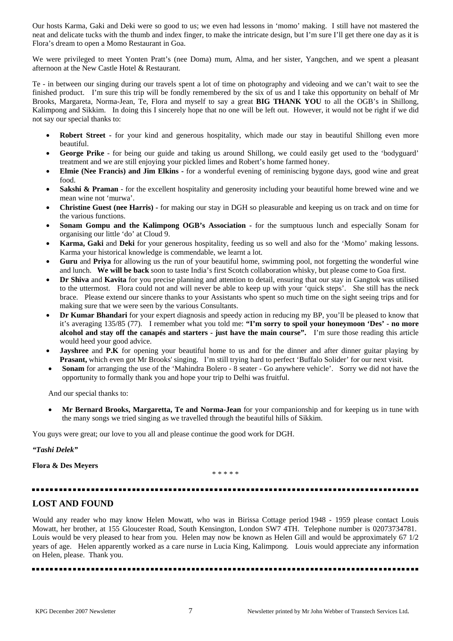Our hosts Karma, Gaki and Deki were so good to us; we even had lessons in 'momo' making. I still have not mastered the neat and delicate tucks with the thumb and index finger, to make the intricate design, but I'm sure I'll get there one day as it is Flora's dream to open a Momo Restaurant in Goa.

We were privileged to meet Yonten Pratt's (nee Doma) mum, Alma, and her sister, Yangchen, and we spent a pleasant afternoon at the New Castle Hotel & Restaurant.

Te - in between our singing during our travels spent a lot of time on photography and videoing and we can't wait to see the finished product. I'm sure this trip will be fondly remembered by the six of us and I take this opportunity on behalf of Mr Brooks, Margareta, Norma-Jean, Te, Flora and myself to say a great **BIG THANK YOU** to all the OGB's in Shillong, Kalimpong and Sikkim. In doing this I sincerely hope that no one will be left out. However, it would not be right if we did not say our special thanks to:

- **Robert Street -** for your kind and generous hospitality, which made our stay in beautiful Shillong even more beautiful.
- **George Prike** for being our guide and taking us around Shillong, we could easily get used to the 'bodyguard' treatment and we are still enjoying your pickled limes and Robert's home farmed honey.
- **Elmie (Nee Francis) and Jim Elkins -** for a wonderful evening of reminiscing bygone days, good wine and great food.
- **Sakshi & Praman** for the excellent hospitality and generosity including your beautiful home brewed wine and we mean wine not 'murwa'.
- **Christine Guest (nee Harris) -** for making our stay in DGH so pleasurable and keeping us on track and on time for the various functions.
- **Sonam Gompu and the Kalimpong OGB's Association** for the sumptuous lunch and especially Sonam for organising our little 'do' at Cloud 9.
- **Karma, Gaki** and **Deki** for your generous hospitality, feeding us so well and also for the 'Momo' making lessons. Karma your historical knowledge is commendable, we learnt a lot.
- Guru and Priya for allowing us the run of your beautiful home, swimming pool, not forgetting the wonderful wine and lunch. **We will be back** soon to taste India's first Scotch collaboration whisky, but please come to Goa first.
- **Dr Shiva** and **Kavita** for you precise planning and attention to detail, ensuring that our stay in Gangtok was utilised to the uttermost. Flora could not and will never be able to keep up with your 'quick steps'. She still has the neck brace. Please extend our sincere thanks to your Assistants who spent so much time on the sight seeing trips and for making sure that we were seen by the various Consultants.
- **Dr Kumar Bhandari** for your expert diagnosis and speedy action in reducing my BP, you'll be pleased to know that it's averaging 135/85 (77). I remember what you told me: **"I'm sorry to spoil your honeymoon 'Des' - no more alcohol and stay off the canapés and starters - just have the main course".** I'm sure those reading this article would heed your good advice.
- **Jayshree** and **P.K** for opening your beautiful home to us and for the dinner and after dinner guitar playing by **Prasant,** which even got Mr Brooks' singing. I'm still trying hard to perfect 'Buffalo Solider' for our next visit.
- **Sonam** for arranging the use of the 'Mahindra Bolero 8 seater Go anywhere vehicle'. Sorry we did not have the opportunity to formally thank you and hope your trip to Delhi was fruitful.

And our special thanks to:

• **Mr Bernard Brooks, Margaretta, Te and Norma-Jean** for your companionship and for keeping us in tune with the many songs we tried singing as we travelled through the beautiful hills of Sikkim.

You guys were great; our love to you all and please continue the good work for DGH.

### *"Tashi Delek"*

### **Flora & Des Meyers**

\* \* \* \* \*

# **LOST AND FOUND**

Would any reader who may know Helen Mowatt, who was in Birissa Cottage period 1948 - 1959 please contact Louis Mowatt, her brother, at 155 Gloucester Road, South Kensington, London SW7 4TH. Telephone number is 02073734781. Louis would be very pleased to hear from you. Helen may now be known as Helen Gill and would be approximately 67 1/2 years of age. Helen apparently worked as a care nurse in Lucia King, Kalimpong. Louis would appreciate any information on Helen, please. Thank you.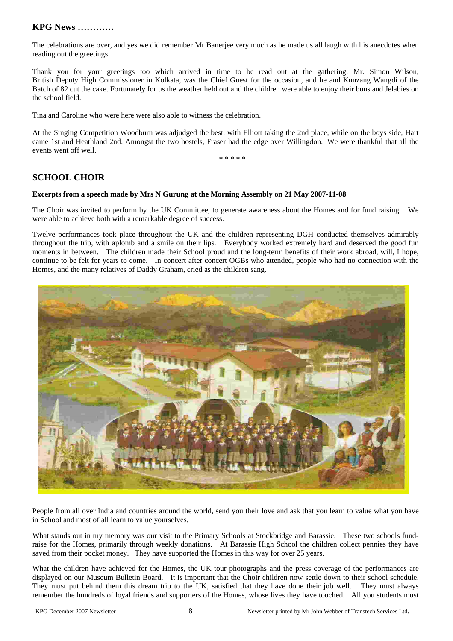# **KPG News …………**

The celebrations are over, and yes we did remember Mr Banerjee very much as he made us all laugh with his anecdotes when reading out the greetings.

Thank you for your greetings too which arrived in time to be read out at the gathering. Mr. Simon Wilson, British Deputy High Commissioner in Kolkata, was the Chief Guest for the occasion, and he and Kunzang Wangdi of the Batch of 82 cut the cake. Fortunately for us the weather held out and the children were able to enjoy their buns and Jelabies on the school field.

Tina and Caroline who were here were also able to witness the celebration.

At the Singing Competition Woodburn was adjudged the best, with Elliott taking the 2nd place, while on the boys side, Hart came 1st and Heathland 2nd. Amongst the two hostels, Fraser had the edge over Willingdon. We were thankful that all the events went off well.

\* \* \* \* \*

# **SCHOOL CHOIR**

### **Excerpts from a speech made by Mrs N Gurung at the Morning Assembly on 21 May 2007-11-08**

The Choir was invited to perform by the UK Committee, to generate awareness about the Homes and for fund raising. We were able to achieve both with a remarkable degree of success.

Twelve performances took place throughout the UK and the children representing DGH conducted themselves admirably throughout the trip, with aplomb and a smile on their lips. Everybody worked extremely hard and deserved the good fun moments in between. The children made their School proud and the long-term benefits of their work abroad, will, I hope, continue to be felt for years to come. In concert after concert OGBs who attended, people who had no connection with the Homes, and the many relatives of Daddy Graham, cried as the children sang.



People from all over India and countries around the world, send you their love and ask that you learn to value what you have in School and most of all learn to value yourselves.

What stands out in my memory was our visit to the Primary Schools at Stockbridge and Barassie. These two schools fundraise for the Homes, primarily through weekly donations. At Barassie High School the children collect pennies they have saved from their pocket money. They have supported the Homes in this way for over 25 years.

What the children have achieved for the Homes, the UK tour photographs and the press coverage of the performances are displayed on our Museum Bulletin Board. It is important that the Choir children now settle down to their school schedule. They must put behind them this dream trip to the UK, satisfied that they have done their job well. They must always remember the hundreds of loyal friends and supporters of the Homes, whose lives they have touched. All you students must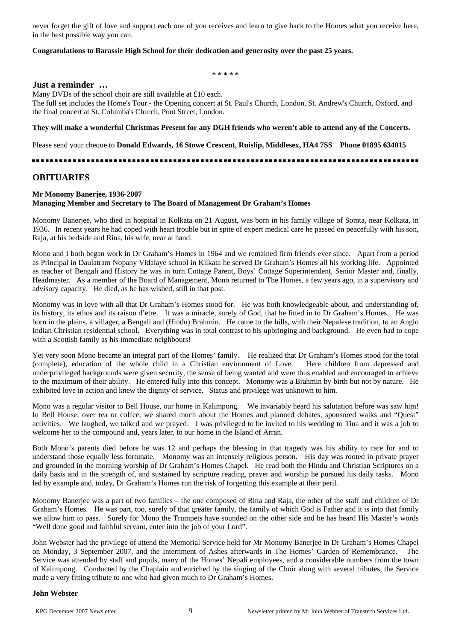never forget the gift of love and support each one of you receives and learn to give back to the Homes what you receive here, in the best possible way you can.

#### **Congratulations to Barassie High School for their dedication and generosity over the past 25 years.**

**\* \* \* \* \*** 

#### **Just a reminder …**

Many DVDs of the school choir are still available at £10 each. The full set includes the Home's Tour - the Opening concert at St. Paul's Church, London, St. Andrew's Church, Oxford, and the final concert at St. Columba's Church, Pont Street, London.

#### **They will make a wonderful Christmas Present for any DGH friends who weren't able to attend any of the Concerts.**

Please send your cheque to **Donald Edwards, 16 Stowe Crescent, Ruislip, Middlesex, HA4 7SS Phone 01895 634015**

# **OBITUARIES**

#### **Mr Monomy Banerjee, 1936-2007 Managing Member and Secretary to The Board of Management Dr Graham's Homes**

Monomy Banerjee, who died in hospital in Kolkata on 21 August, was born in his family village of Somta, near Kolkata, in 1936. In recent years he had coped with heart trouble but in spite of expert medical care he passed on peacefully with his son, Raja, at his bedside and Rina, his wife, near at hand.

Mono and I both began work in Dr Graham's Homes in 1964 and we remained firm friends ever since. Apart from a period as Principal in Daulatram Nopany Vidalaye school in Kilkata he served Dr Graham's Homes all his working life. Appointed as teacher of Bengali and History he was in turn Cottage Parent, Boys' Cottage Superintendent, Senior Master and, finally, Headmaster. As a member of the Board of Management, Mono returned to The Homes, a few years ago, in a supervisory and advisory capacity. He died, as he has wished, still in that post.

Monomy was in love with all that Dr Graham's Homes stood for. He was both knowledgeable about, and understanding of, its history, its ethos and its raison d'etre. It was a miracle, surely of God, that he fitted in to Dr Graham's Homes. He was born in the plains, a villager, a Bengali and (Hindu) Brahmin. He came to the hills, with their Nepalese tradition, to an Anglo Indian Christian residential school. Everything was in total contrast to his upbringing and background. He even had to cope with a Scottish family as his immediate neighbours!

Yet very soon Mono became an integral part of the Homes' family. He realized that Dr Graham's Homes stood for the total (complete), education of the whole child in a Christian environment of Love. Here children from depressed and underprivileged backgrounds were given security, the sense of being wanted and were thus enabled and encouraged to achieve to the maximum of their ability. He entered fully into this concept. Monomy was a Brahmin by birth but not by nature. He exhibited love in action and knew the dignity of service. Status and privilege was unknown to him.

Mono was a regular visitor to Bell House, our home in Kalimpong. We invariably heard his salutation before was saw him! In Bell House, over tea or coffee, we shared much about the Homes and planned debates, sponsored walks and "Quest" activities. We laughed, we talked and we prayed. I was privileged to be invited to his wedding to Tina and it was a job to welcome her to the compound and, years later, to our home in the Island of Arran.

Both Mono's parents died before he was 12 and perhaps the blessing in that tragedy was his ability to care for and to understand those equally less fortunate. Monomy was an intensely religious person. His day was rooted in private prayer and grounded in the morning worship of Dr Graham's Homes Chapel. He read both the Hindu and Christian Scriptures on a daily basis and in the strength of, and sustained by scripture reading, prayer and worship he pursued his daily tasks. Mono led by example and, today, Dr Graham's Homes run the risk of forgetting this example at their peril.

Monomy Banerjee was a part of two families – the one composed of Rina and Raja, the other of the staff and children of Dr Graham's Homes. He was part, too, surely of that greater family, the family of which God is Father and it is into that family we allow him to pass. Surely for Mono the Trumpets have sounded on the other side and he has heard His Master's words "Well done good and faithful servant, enter into the job of your Lord".

John Webster had the privilege of attend the Memorial Service held for Mr Monomy Banerjee in Dr Graham's Homes Chapel on Monday, 3 September 2007, and the Internment of Ashes afterwards in The Homes' Garden of Remembrance. The Service was attended by staff and pupils, many of the Homes' Nepali employees, and a considerable numbers from the town of Kalimpong. Conducted by the Chaplain and enriched by the singing of the Choir along with several tributes, the Service made a very fitting tribute to one who had given much to Dr Graham's Homes.

#### **John Webster**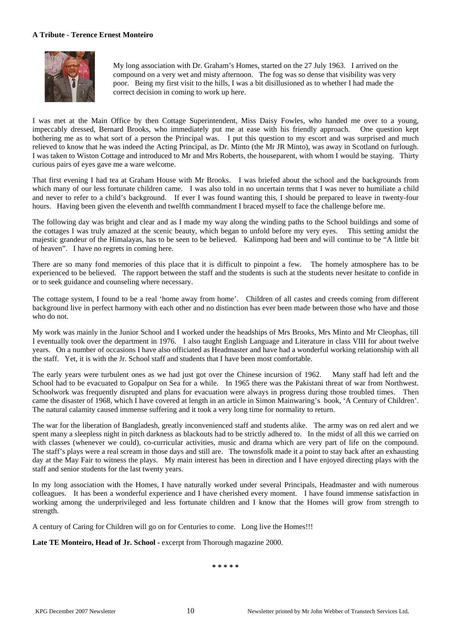#### **A Tribute - Terence Ernest Monteiro**



My long association with Dr. Graham's Homes, started on the 27 July 1963. I arrived on the compound on a very wet and misty afternoon. The fog was so dense that visibility was very poor. Being my first visit to the hills, I was a bit disillusioned as to whether I had made the correct decision in coming to work up here.

I was met at the Main Office by then Cottage Superintendent, Miss Daisy Fowles, who handed me over to a young, impeccably dressed, Bernard Brooks, who immediately put me at ease with his friendly approach. One question kept bothering me as to what sort of a person the Principal was. I put this question to my escort and was surprised and much relieved to know that he was indeed the Acting Principal, as Dr. Minto (the Mr JR Minto), was away in Scotland on furlough. I was taken to Wiston Cottage and introduced to Mr and Mrs Roberts, the houseparent, with whom I would be staying. Thirty curious pairs of eyes gave me a ware welcome.

That first evening I had tea at Graham House with Mr Brooks. I was briefed about the school and the backgrounds from which many of our less fortunate children came. I was also told in no uncertain terms that I was never to humiliate a child and never to refer to a child's background. If ever I was found wanting this, I should be prepared to leave in twenty-four hours. Having been given the eleventh and twelfth commandment I braced myself to face the challenge before me.

The following day was bright and clear and as I made my way along the winding paths to the School buildings and some of the cottages I was truly amazed at the scenic beauty, which began to unfold before my very eyes. This setting amidst the majestic grandeur of the Himalayas, has to be seen to be believed. Kalimpong had been and will continue to be "A little bit of heaven". I have no regrets in coming here.

There are so many fond memories of this place that it is difficult to pinpoint a few. The homely atmosphere has to be experienced to be believed. The rapport between the staff and the students is such at the students never hesitate to confide in or to seek guidance and counseling where necessary.

The cottage system, I found to be a real 'home away from home'. Children of all castes and creeds coming from different background live in perfect harmony with each other and no distinction has ever been made between those who have and those who do not.

My work was mainly in the Junior School and I worked under the headships of Mrs Brooks, Mrs Minto and Mr Cleophas, till I eventually took over the department in 1976. I also taught English Language and Literature in class VIII for about twelve years. On a number of occasions I have also officiated as Headmaster and have had a wonderful working relationship with all the staff. Yet, it is with the Jr. School staff and students that I have been most comfortable.

The early years were turbulent ones as we had just got over the Chinese incursion of 1962. Many staff had left and the School had to be evacuated to Gopalpur on Sea for a while. In 1965 there was the Pakistani threat of war from Northwest. Schoolwork was frequently disrupted and plans for evacuation were always in progress during those troubled times. Then came the disaster of 1968, which I have covered at length in an article in Simon Mainwaring's book, 'A Century of Children'. The natural calamity caused immense suffering and it took a very long time for normality to return.

The war for the liberation of Bangladesh, greatly inconvenienced staff and students alike. The army was on red alert and we spent many a sleepless night in pitch darkness as blackouts had to be strictly adhered to. In the midst of all this we carried on with classes (whenever we could), co-curricular activities, music and drama which are very part of life on the compound. The staff's plays were a real scream in those days and still are. The townsfolk made it a point to stay back after an exhausting day at the May Fair to witness the plays. My main interest has been in direction and I have enjoyed directing plays with the staff and senior students for the last twenty years.

In my long association with the Homes, I have naturally worked under several Principals, Headmaster and with numerous colleagues. It has been a wonderful experience and I have cherished every moment. I have found immense satisfaction in working among the underprivileged and less fortunate children and I know that the Homes will grow from strength to strength.

A century of Caring for Children will go on for Centuries to come. Long live the Homes!!!

Late TE Monteiro, Head of Jr. School - excerpt from Thorough magazine 2000.

**\* \* \* \* \***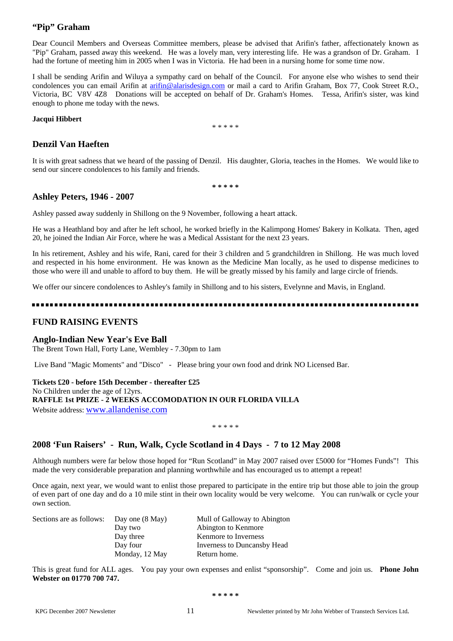# **"Pip" Graham**

Dear Council Members and Overseas Committee members, please be advised that Arifin's father, affectionately known as "Pip" Graham, passed away this weekend. He was a lovely man, very interesting life. He was a grandson of Dr. Graham. I had the fortune of meeting him in 2005 when I was in Victoria. He had been in a nursing home for some time now.

I shall be sending Arifin and Wiluya a sympathy card on behalf of the Council. For anyone else who wishes to send their condolences you can email Arifin at [arifin@alarisdesign.com](mailto:arifin@alarisdesign.com) or mail a card to Arifin Graham, Box 77, Cook Street R.O., Victoria, BC V8V 4Z8 Donations will be accepted on behalf of Dr. Graham's Homes. Tessa, Arifin's sister, was kind enough to phone me today with the news.

#### **Jacqui Hibbert**

\* \* \* \* \*

# **Denzil Van Haeften**

It is with great sadness that we heard of the passing of Denzil. His daughter, Gloria, teaches in the Homes. We would like to send our sincere condolences to his family and friends.

**\* \* \* \* \*** 

### **Ashley Peters, 1946 - 2007**

Ashley passed away suddenly in Shillong on the 9 November, following a heart attack.

He was a Heathland boy and after he left school, he worked briefly in the Kalimpong Homes' Bakery in Kolkata. Then, aged 20, he joined the Indian Air Force, where he was a Medical Assistant for the next 23 years.

In his retirement, Ashley and his wife, Rani, cared for their 3 children and 5 grandchildren in Shillong. He was much loved and respected in his home environment. He was known as the Medicine Man locally, as he used to dispense medicines to those who were ill and unable to afford to buy them. He will be greatly missed by his family and large circle of friends.

We offer our sincere condolences to Ashley's family in Shillong and to his sisters, Evelynne and Mavis, in England.

# **FUND RAISING EVENTS**

### **Anglo-Indian New Year's Eve Ball**

The Brent Town Hall, Forty Lane, Wembley - 7.30pm to 1am

Live Band "Magic Moments" and "Disco" - Please bring your own food and drink NO Licensed Bar.

**Tickets £20 - before 15th December - thereafter £25**  No Children under the age of 12yrs. **RAFFLE 1st PRIZE - 2 WEEKS ACCOMODATION IN OUR FLORIDA VILLA** Website address: [www.allandenise.com](http://www.allandenise.com/) 

\* \* \* \* \*

# **2008 'Fun Raisers' - Run, Walk, Cycle Scotland in 4 Days - 7 to 12 May 2008**

Although numbers were far below those hoped for "Run Scotland" in May 2007 raised over £5000 for "Homes Funds"! This made the very considerable preparation and planning worthwhile and has encouraged us to attempt a repeat!

Once again, next year, we would want to enlist those prepared to participate in the entire trip but those able to join the group of even part of one day and do a 10 mile stint in their own locality would be very welcome. You can run/walk or cycle your own section.

| Sections are as follows: | Day one (8 May) | Mull of Galloway to Abington |
|--------------------------|-----------------|------------------------------|
|                          | Day two         | Abington to Kenmore          |
|                          | Day three       | Kenmore to Inverness         |
|                          | Day four        | Inverness to Duncansby Head  |
|                          | Monday, 12 May  | Return home.                 |

This is great fund for ALL ages. You pay your own expenses and enlist "sponsorship". Come and join us. **Phone John Webster on 01770 700 747.**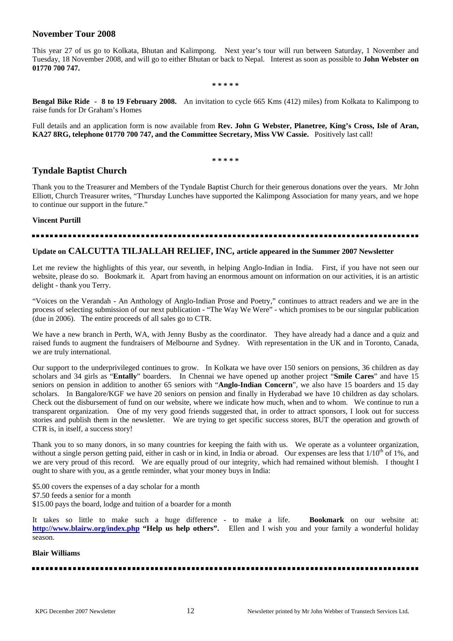# **November Tour 2008**

This year 27 of us go to Kolkata, Bhutan and Kalimpong. Next year's tour will run between Saturday, 1 November and Tuesday, 18 November 2008, and will go to either Bhutan or back to Nepal. Interest as soon as possible to **John Webster on 01770 700 747.** 

**\* \* \* \* \*** 

**Bengal Bike Ride - 8 to 19 February 2008.** An invitation to cycle 665 Kms (412) miles) from Kolkata to Kalimpong to raise funds for Dr Graham's Homes

Full details and an application form is now available from **Rev. John G Webster, Planetree, King's Cross, Isle of Aran, KA27 8RG, telephone 01770 700 747, and the Committee Secretary, Miss VW Cassie.** Positively last call!

**\* \* \* \* \*** 

# **Tyndale Baptist Church**

Thank you to the Treasurer and Members of the Tyndale Baptist Church for their generous donations over the years. Mr John Elliott, Church Treasurer writes, "Thursday Lunches have supported the Kalimpong Association for many years, and we hope to continue our support in the future."

### **Vincent Purtill**

### **Update on CALCUTTA TILJALLAH RELIEF, INC, article appeared in the Summer 2007 Newsletter**

Let me review the highlights of this year, our seventh, in helping Anglo-Indian in India. First, if you have not seen our website, please do so. Bookmark it. Apart from having an enormous amount on information on our activities, it is an artistic delight - thank you Terry.

"Voices on the Verandah - An Anthology of Anglo-Indian Prose and Poetry," continues to attract readers and we are in the process of selecting submission of our next publication - "The Way We Were" - which promises to be our singular publication (due in 2006). The entire proceeds of all sales go to CTR.

We have a new branch in Perth, WA, with Jenny Busby as the coordinator. They have already had a dance and a quiz and raised funds to augment the fundraisers of Melbourne and Sydney. With representation in the UK and in Toronto, Canada, we are truly international.

Our support to the underprivileged continues to grow. In Kolkata we have over 150 seniors on pensions, 36 children as day scholars and 34 girls as "**Entally**" boarders. In Chennai we have opened up another project "**Smile Cares**" and have 15 seniors on pension in addition to another 65 seniors with "**Anglo-Indian Concern**", we also have 15 boarders and 15 day scholars. In Bangalore/KGF we have 20 seniors on pension and finally in Hyderabad we have 10 children as day scholars. Check out the disbursement of fund on our website, where we indicate how much, when and to whom. We continue to run a transparent organization. One of my very good friends suggested that, in order to attract sponsors, I look out for success stories and publish them in the newsletter. We are trying to get specific success stores, BUT the operation and growth of CTR is, in itself, a success story!

Thank you to so many donors, in so many countries for keeping the faith with us. We operate as a volunteer organization, without a single person getting paid, either in cash or in kind, in India or abroad. Our expenses are less that 1/10<sup>th</sup> of 1%, and we are very proud of this record. We are equally proud of our integrity, which had remained without blemish. I thought I ought to share with you, as a gentle reminder, what your money buys in India:

\$5.00 covers the expenses of a day scholar for a month \$7.50 feeds a senior for a month \$15.00 pays the board, lodge and tuition of a boarder for a month

It takes so little to make such a huge difference - to make a life. **Bookmark** on our website at: **<http://www.blairw.org/index.php> "Help us help others".** Ellen and I wish you and your family a wonderful holiday season.

### **Blair Williams**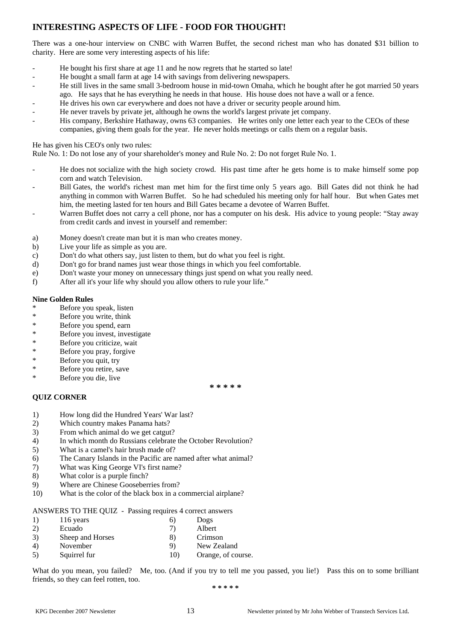# **INTERESTING ASPECTS OF LIFE - FOOD FOR THOUGHT!**

There was a one-hour interview on CNBC with Warren Buffet, the second richest man who has donated \$31 billion to charity. Here are some very interesting aspects of his life:

- He bought his first share at age 11 and he now regrets that he started so late!
- He bought a small farm at age 14 with savings from delivering newspapers.
- He still lives in the same small 3-bedroom house in mid-town Omaha, which he bought after he got married 50 years ago. He says that he has everything he needs in that house. His house does not have a wall or a fence.
- He drives his own car everywhere and does not have a driver or security people around him.
- He never travels by private jet, although he owns the world's largest private jet company.
- His company, Berkshire Hathaway, owns 63 companies. He writes only one letter each year to the CEOs of these companies, giving them goals for the year. He never holds meetings or calls them on a regular basis.

### He has given his CEO's only two rules:

Rule No. 1: Do not lose any of your shareholder's money and Rule No. 2: Do not forget Rule No. 1.

- He does not socialize with the high society crowd. His past time after he gets home is to make himself some pop corn and watch Television.
- Bill Gates, the world's richest man met him for the first time only 5 years ago. Bill Gates did not think he had anything in common with Warren Buffet. So he had scheduled his meeting only for half hour. But when Gates met him, the meeting lasted for ten hours and Bill Gates became a devotee of Warren Buffet.
- Warren Buffet does not carry a cell phone, nor has a computer on his desk. His advice to young people: "Stay away from credit cards and invest in yourself and remember:

**\* \* \* \* \*** 

- a) Money doesn't create man but it is man who creates money.
- b) Live your life as simple as you are.
- c) Don't do what others say, just listen to them, but do what you feel is right.
- d) Don't go for brand names just wear those things in which you feel comfortable.
- e) Don't waste your money on unnecessary things just spend on what you really need.
- f) After all it's your life why should you allow others to rule your life."

### **Nine Golden Rules**

- Before you speak, listen
- \* Before you write, think
- \* Before you spend, earn
- \* Before you invest, investigate
- \* Before you criticize, wait
- \* Before you pray, forgive
- \* Before you quit, try
- \* Before you retire, save
- \* Before you die, live

# **QUIZ CORNER**

- 1) How long did the Hundred Years' War last?
- 2) Which country makes Panama hats?
- 3) From which animal do we get catgut?
- 4) In which month do Russians celebrate the October Revolution?
- 5) What is a camel's hair brush made of?
- 6) The Canary Islands in the Pacific are named after what animal?
- 7) What was King George VI's first name?
- 8) What color is a purple finch?
- 9) Where are Chinese Gooseberries from?
- 10) What is the color of the black box in a commercial airplane?

ANSWERS TO THE QUIZ - Passing requires 4 correct answers

- 1) 116 years 6) Dogs
- 2) Ecuado 7) Albert
- 3) Sheep and Horses 8) Crimson
- 4) November 9) New Zealand
- 5) Squirrel fur 10) Orange, of course.

What do you mean, you failed? Me, too. (And if you try to tell me you passed, you lie!) Pass this on to some brilliant friends, so they can feel rotten, too.

**\* \* \* \* \***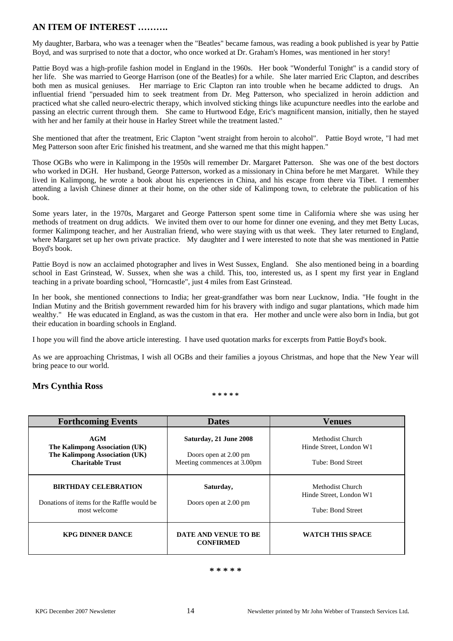# **AN ITEM OF INTEREST ……….**

My daughter, Barbara, who was a teenager when the "Beatles" became famous, was reading a book published is year by Pattie Boyd, and was surprised to note that a doctor, who once worked at Dr. Graham's Homes, was mentioned in her story!

Pattie Boyd was a high-profile fashion model in England in the 1960s. Her book "Wonderful Tonight" is a candid story of her life. She was married to George Harrison (one of the Beatles) for a while. She later married Eric Clapton, and describes both men as musical geniuses. Her marriage to Eric Clapton ran into trouble when he became addicted to drugs. An influential friend "persuaded him to seek treatment from Dr. Meg Patterson, who specialized in heroin addiction and practiced what she called neuro-electric therapy, which involved sticking things like acupuncture needles into the earlobe and passing an electric current through them. She came to Hurtwood Edge, Eric's magnificent mansion, initially, then he stayed with her and her family at their house in Harley Street while the treatment lasted."

She mentioned that after the treatment, Eric Clapton "went straight from heroin to alcohol". Pattie Boyd wrote, "I had met Meg Patterson soon after Eric finished his treatment, and she warned me that this might happen."

Those OGBs who were in Kalimpong in the 1950s will remember Dr. Margaret Patterson. She was one of the best doctors who worked in DGH. Her husband, George Patterson, worked as a missionary in China before he met Margaret. While they lived in Kalimpong, he wrote a book about his experiences in China, and his escape from there via Tibet. I remember attending a lavish Chinese dinner at their home, on the other side of Kalimpong town, to celebrate the publication of his book.

Some years later, in the 1970s, Margaret and George Patterson spent some time in California where she was using her methods of treatment on drug addicts. We invited them over to our home for dinner one evening, and they met Betty Lucas, former Kalimpong teacher, and her Australian friend, who were staying with us that week. They later returned to England, where Margaret set up her own private practice. My daughter and I were interested to note that she was mentioned in Pattie Boyd's book.

Pattie Boyd is now an acclaimed photographer and lives in West Sussex, England. She also mentioned being in a boarding school in East Grinstead, W. Sussex, when she was a child. This, too, interested us, as I spent my first year in England teaching in a private boarding school, "Horncastle", just 4 miles from East Grinstead.

In her book, she mentioned connections to India; her great-grandfather was born near Lucknow, India. "He fought in the Indian Mutiny and the British government rewarded him for his bravery with indigo and sugar plantations, which made him wealthy." He was educated in England, as was the custom in that era. Her mother and uncle were also born in India, but got their education in boarding schools in England.

I hope you will find the above article interesting. I have used quotation marks for excerpts from Pattie Boyd's book.

As we are approaching Christmas, I wish all OGBs and their families a joyous Christmas, and hope that the New Year will bring peace to our world.

# **Mrs Cynthia Ross**

**\* \* \* \* \*** 

| <b>Forthcoming Events</b>                                                                          | <b>Dates</b>                                                                   | <b>Venues</b>                                                    |
|----------------------------------------------------------------------------------------------------|--------------------------------------------------------------------------------|------------------------------------------------------------------|
| AGM<br>The Kalimpong Association (UK)<br>The Kalimpong Association (UK)<br><b>Charitable Trust</b> | Saturday, 21 June 2008<br>Doors open at 2.00 pm<br>Meeting commences at 3.00pm | Methodist Church<br>Hinde Street, London W1<br>Tube: Bond Street |
| <b>BIRTHDAY CELEBRATION</b><br>Donations of items for the Raffle would be<br>most welcome          | Saturday,<br>Doors open at 2.00 pm                                             | Methodist Church<br>Hinde Street, London W1<br>Tube: Bond Street |
| <b>KPG DINNER DANCE</b>                                                                            | DATE AND VENUE TO BE<br><b>CONFIRMED</b>                                       | <b>WATCH THIS SPACE</b>                                          |

#### **\* \* \* \* \***